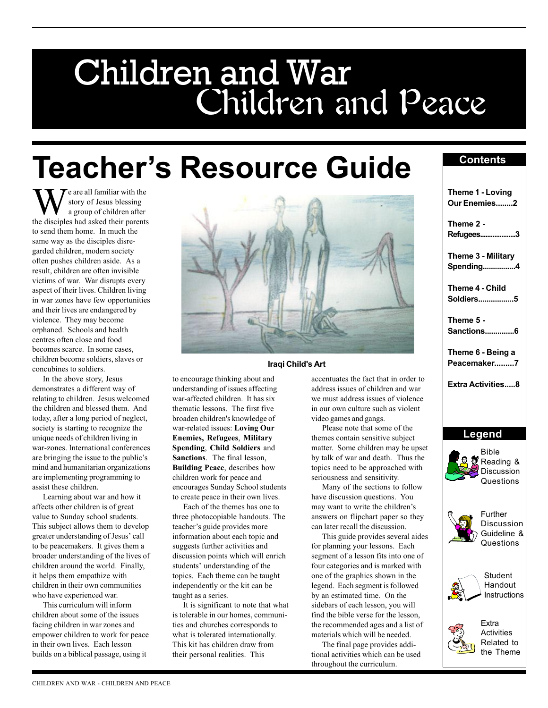# Children and Peace Children and War

## **Teacher's Resource Guide**

 $\mathbf{T}$  e are all familiar with the story of Jesus blessing a group of children after the disciples had asked their parents to send them home. In much the same way as the disciples disregarded children, modern society often pushes children aside. As a result, children are often invisible victims of war. War disrupts every aspect of their lives. Children living in war zones have few opportunities and their lives are endangered by violence. They may become orphaned. Schools and health centres often close and food becomes scarce. In some cases, children become soldiers, slaves or concubines to soldiers.

In the above story, Jesus demonstrates a different way of relating to children. Jesus welcomed the children and blessed them. And today, after a long period of neglect, society is starting to recognize the unique needs of children living in war-zones. International conferences are bringing the issue to the public's mind and humanitarian organizations are implementing programming to assist these children.

Learning about war and how it affects other children is of great value to Sunday school students. This subject allows them to develop greater understanding of Jesus' call to be peacemakers. It gives them a broader understanding of the lives of children around the world. Finally, it helps them empathize with children in their own communities who have experienced war.

This curriculum will inform children about some of the issues facing children in war zones and empower children to work for peace in their own lives. Each lesson builds on a biblical passage, using it



#### Iraqi Child's Art

to encourage thinking about and understanding of issues affecting war-affected children. It has six thematic lessons. The first five broaden children's knowledge of war-related issues: Loving Our Enemies, Refugees, Military Spending, Child Soldiers and Sanctions. The final lesson, Building Peace, describes how children work for peace and encourages Sunday School students to create peace in their own lives.

Each of the themes has one to three photocopiable handouts. The teacher's guide provides more information about each topic and suggests further activities and discussion points which will enrich students' understanding of the topics. Each theme can be taught independently or the kit can be taught as a series.

It is significant to note that what is tolerable in our homes, communities and churches corresponds to what is tolerated internationally. This kit has children draw from their personal realities. This

accentuates the fact that in order to address issues of children and war we must address issues of violence in our own culture such as violent video games and gangs.

Please note that some of the themes contain sensitive subject matter. Some children may be upset by talk of war and death. Thus the topics need to be approached with seriousness and sensitivity.

Many of the sections to follow have discussion questions. You may want to write the children's answers on flipchart paper so they can later recall the discussion.

This guide provides several aides for planning your lessons. Each segment of a lesson fits into one of four categories and is marked with one of the graphics shown in the legend. Each segment is followed by an estimated time. On the sidebars of each lesson, you will find the bible verse for the lesson, the recommended ages and a list of materials which will be needed.

The final page provides additional activities which can be used throughout the curriculum.

### **Contents**

|                                                                                                                                                                  | Theme 1 - Loving<br>Our Enemies                                   |        |                                          |
|------------------------------------------------------------------------------------------------------------------------------------------------------------------|-------------------------------------------------------------------|--------|------------------------------------------|
| Theme 2 -<br>Refugees                                                                                                                                            |                                                                   |        |                                          |
| Theme 3 - Military<br><b>Spending</b><br>Theme 4 - Child<br>Soldiers5<br>Theme 5 -<br>Sanctions6<br>Theme 6 - Being a<br>Peacemaker7<br><b>Extra Activities8</b> |                                                                   |        |                                          |
|                                                                                                                                                                  |                                                                   |        |                                          |
|                                                                                                                                                                  |                                                                   | Legend |                                          |
|                                                                                                                                                                  |                                                                   |        |                                          |
|                                                                                                                                                                  |                                                                   |        | Bible<br><b>C</b> Reading &<br>Questions |
|                                                                                                                                                                  | Further<br>Discussion<br>Discussion<br>All Current &<br>Questions |        |                                          |
|                                                                                                                                                                  | Student<br>Handout                                                |        |                                          |

the Theme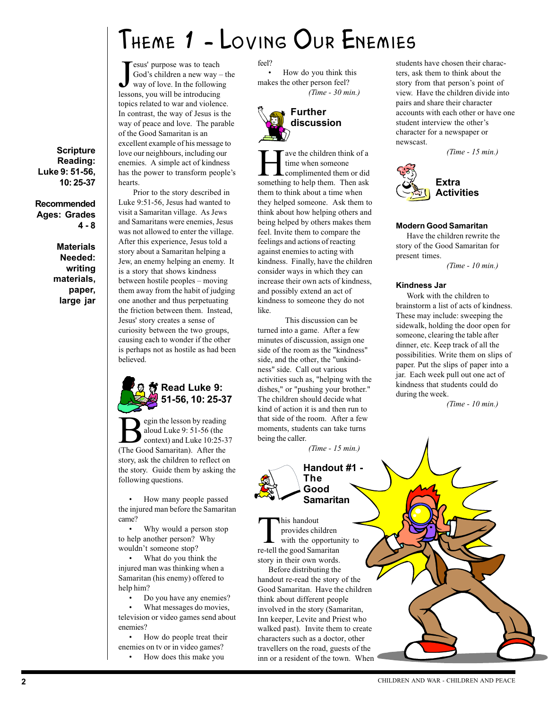### Theme 1 - Loving Our Enemies

**J** esus' purpose was to teach<br>God's children a new way way of love. In the followire<br>lessons, you will be introducing esus' purpose was to teach God's children a new way  $-$  the way of love. In the following topics related to war and violence. In contrast, the way of Jesus is the way of peace and love. The parable of the Good Samaritan is an excellent example of his message to love our neighbours, including our enemies. A simple act of kindness has the power to transform people's hearts.

**Scripture** Reading: Luke 9: 51-56, 10: 25-37

4 - 8

**Materials** Needed: writing materials, paper, large jar

Recommended Ages: Grades

Prior to the story described in Luke 9:51-56, Jesus had wanted to visit a Samaritan village. As Jews and Samaritans were enemies, Jesus was not allowed to enter the village. After this experience, Jesus told a story about a Samaritan helping a Jew, an enemy helping an enemy. It is a story that shows kindness between hostile peoples – moving them away from the habit of judging one another and thus perpetuating the friction between them. Instead, Jesus' story creates a sense of curiosity between the two groups, causing each to wonder if the other is perhaps not as hostile as had been believed.



egin the lesson by reading aloud Luke 9: 51-56 (the context) and Luke 10:25-37 (The Good Samaritan). After the story, ask the children to reflect on the story. Guide them by asking the following questions.

 How many people passed the injured man before the Samaritan came?

 Why would a person stop to help another person? Why wouldn't someone stop?

 What do you think the injured man was thinking when a Samaritan (his enemy) offered to help him?

Do you have any enemies?

 What messages do movies, television or video games send about enemies?

 How do people treat their enemies on tv or in video games?

How does this make you

feel?

 How do you think this makes the other person feel? (Time - 30 min.)



The vector of a time when someone<br>time when someone<br>something to help them. Then ask time when someone complimented them or did them to think about a time when they helped someone. Ask them to think about how helping others and being helped by others makes them feel. Invite them to compare the feelings and actions of reacting against enemies to acting with kindness. Finally, have the children consider ways in which they can increase their own acts of kindness, and possibly extend an act of kindness to someone they do not like.

This discussion can be turned into a game. After a few minutes of discussion, assign one side of the room as the "kindness" side, and the other, the "unkindness" side. Call out various activities such as, "helping with the dishes," or "pushing your brother." The children should decide what kind of action it is and then run to that side of the room. After a few moments, students can take turns being the caller.

(Time - 15 min.)



This handout<br>provides children<br>with the opporture-tell the good Samaritan provides children with the opportunity to story in their own words.

Before distributing the handout re-read the story of the Good Samaritan. Have the children think about different people involved in the story (Samaritan, Inn keeper, Levite and Priest who walked past). Invite them to create characters such as a doctor, other travellers on the road, guests of the inn or a resident of the town. When

students have chosen their characters, ask them to think about the story from that person's point of view. Have the children divide into pairs and share their character accounts with each other or have one student interview the other's character for a newspaper or newscast.

(Time - 15 min.)



#### Modern Good Samaritan

Have the children rewrite the story of the Good Samaritan for present times.

(Time - 10 min.)

#### Kindness Jar

Work with the children to brainstorm a list of acts of kindness. These may include: sweeping the sidewalk, holding the door open for someone, clearing the table after dinner, etc. Keep track of all the possibilities. Write them on slips of paper. Put the slips of paper into a jar. Each week pull out one act of kindness that students could do during the week.

(Time - 10 min.)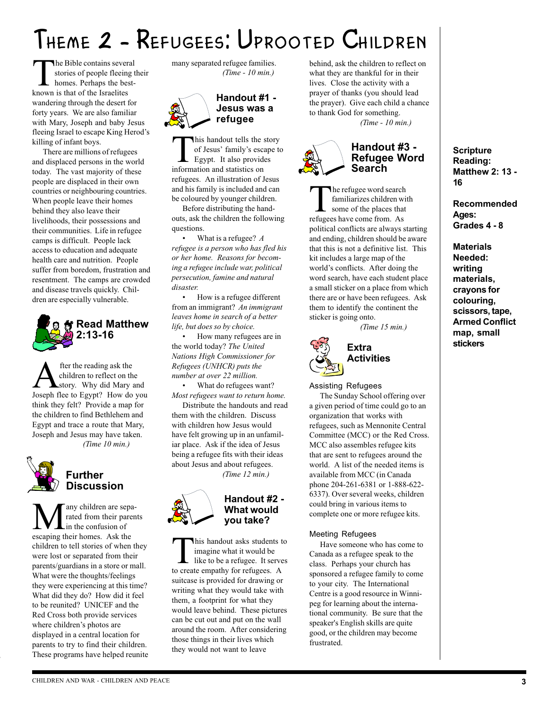## Theme 2 - Refugees: Uprooted Children

The Bible contains several<br>stories of people fleeing<br>homes. Perhaps the best-<br>known is that of the Israelites stories of people fleeing their homes. Perhaps the bestknown is that of the Israelites wandering through the desert for forty years. We are also familiar with Mary, Joseph and baby Jesus fleeing Israel to escape King Herod's killing of infant boys.

There are millions of refugees and displaced persons in the world today. The vast majority of these people are displaced in their own countries or neighbouring countries. When people leave their homes behind they also leave their livelihoods, their possessions and their communities. Life in refugee camps is difficult. People lack access to education and adequate health care and nutrition. People suffer from boredom, frustration and resentment. The camps are crowded and disease travels quickly. Children are especially vulnerable.



**A** fter the reading ask the<br>children to reflect on the<br>loseph flee to Egypt? How do children to reflect on the story. Why did Mary and Joseph flee to Egypt? How do you think they felt? Provide a map for the children to find Bethlehem and Egypt and trace a route that Mary, Joseph and Jesus may have taken. (Time 10 min.)



#### Further **Discussion**

**M** any children are sepa-<br>
in the confusion of<br>
escaning their homes Ask the rated from their parents in the confusion of escaping their homes. Ask the children to tell stories of when they were lost or separated from their parents/guardians in a store or mall. What were the thoughts/feelings they were experiencing at this time? What did they do? How did it feel to be reunited? UNICEF and the Red Cross both provide services where children's photos are displayed in a central location for parents to try to find their children. These programs have helped reunite many separated refugee families. (Time - 10 min.)



Handout #1 - Jesus was a refugee

This handout tells the story<br>of Jesus' family's escape t<br>Egypt. It also provides<br>information and statistics on of Jesus' family's escape to Egypt. It also provides information and statistics on refugees. An illustration of Jesus and his family is included and can be coloured by younger children.

Before distributing the handouts, ask the children the following questions.

• What is a refugee? A refugee is a person who has fled his or her home. Reasons for becoming a refugee include war, political persecution, famine and natural disaster.

 How is a refugee different from an immigrant? An immigrant leaves home in search of a better life, but does so by choice.

 How many refugees are in the world today? The United Nations High Commissioner for Refugees (UNHCR) puts the number at over 22 million.

 What do refugees want? Most refugees want to return home.

Distribute the handouts and read them with the children. Discuss with children how Jesus would have felt growing up in an unfamiliar place. Ask if the idea of Jesus being a refugee fits with their ideas about Jesus and about refugees. (Time 12 min.)



### Handout #2 - What would you take?

This handout asks students to<br>imagine what it would be<br>like to be a refugee. It serves<br>to create empathy for refugees. A imagine what it would be like to be a refugee. It serves to create empathy for refugees. A suitcase is provided for drawing or writing what they would take with them, a footprint for what they would leave behind. These pictures can be cut out and put on the wall around the room. After considering those things in their lives which they would not want to leave

behind, ask the children to reflect on what they are thankful for in their lives. Close the activity with a prayer of thanks (you should lead the prayer). Give each child a chance to thank God for something. (Time - 10 min.)



#### Handout #3 - Refugee Word Search

The refugee word search<br>familiarizes children wi<br>some of the places that<br>refugees have come from As familiarizes children with some of the places that refugees have come from. As political conflicts are always starting and ending, children should be aware that this is not a definitive list. This kit includes a large map of the world's conflicts. After doing the word search, have each student place a small sticker on a place from which there are or have been refugees. Ask them to identify the continent the sticker is going onto.

(Time 15 min.)



Assisting Refugees

The Sunday School offering over a given period of time could go to an organization that works with refugees, such as Mennonite Central Committee (MCC) or the Red Cross. MCC also assembles refugee kits that are sent to refugees around the world. A list of the needed items is available from MCC (in Canada phone 204-261-6381 or 1-888-622- 6337). Over several weeks, children could bring in various items to complete one or more refugee kits.

#### Meeting Refugees

Have someone who has come to Canada as a refugee speak to the class. Perhaps your church has sponsored a refugee family to come to your city. The International Centre is a good resource in Winnipeg for learning about the international community. Be sure that the speaker's English skills are quite good, or the children may become frustrated.

**Scripture** Reading: Matthew 2: 13 - 16

Recommended Ages: Grades 4 - 8

**Materials** Needed: writing materials, crayons for colouring, scissors, tape, Armed Conflict map, small stickers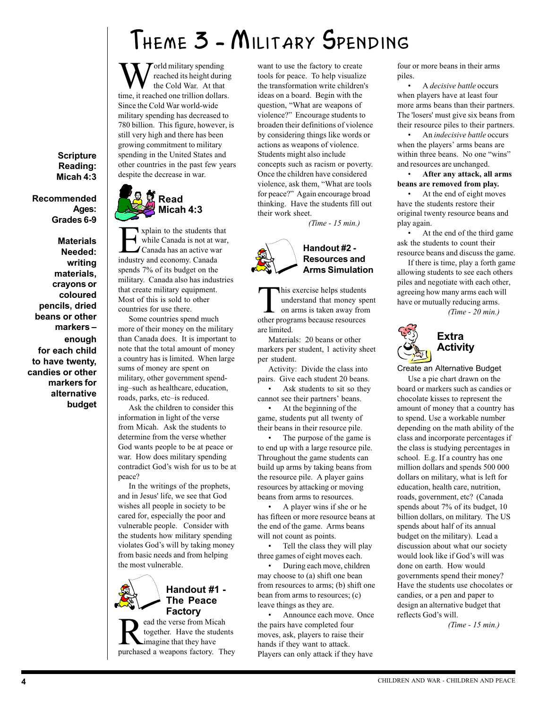## Theme 3 - Military Spending

 $\sum$  orld military spending reached its height during the Cold War. At that time, it reached one trillion dollars. Since the Cold War world-wide military spending has decreased to 780 billion. This figure, however, is still very high and there has been growing commitment to military spending in the United States and other countries in the past few years despite the decrease in war.

Scripture Reading: Micah 4:3

Recommended Ages: Grades 6-9

**Materials** Needed: writing materials, crayons or coloured pencils, dried beans or other markers enough for each child to have twenty, candies or other markers for alternative budget



Explain to the students that<br>while Canada is not at war<br>Canada has an active war<br>industry and economy Canada while Canada is not at war, Canada has an active war industry and economy. Canada spends 7% of its budget on the military. Canada also has industries that create military equipment. Most of this is sold to other countries for use there.

Some countries spend much more of their money on the military than Canada does. It is important to note that the total amount of money a country has is limited. When large sums of money are spent on military, other government spending-such as healthcare, education, roads, parks, etc-is reduced.

Ask the children to consider this information in light of the verse from Micah. Ask the students to determine from the verse whether God wants people to be at peace or war. How does military spending contradict God's wish for us to be at peace?

In the writings of the prophets, and in Jesus' life, we see that God wishes all people in society to be cared for, especially the poor and vulnerable people. Consider with the students how military spending violates God's will by taking money from basic needs and from helping the most vulnerable.



### Handout #1 - The Peace

ead the verse from Micah together. Have the students imagine that they have purchased a weapons factory. They want to use the factory to create tools for peace. To help visualize the transformation write children's ideas on a board. Begin with the question, What are weapons of violence?" Encourage students to broaden their definitions of violence by considering things like words or actions as weapons of violence. Students might also include concepts such as racism or poverty. Once the children have considered violence, ask them, What are tools for peace?" Again encourage broad thinking. Have the students fill out their work sheet.

(Time - 15 min.)



This exercise helps students<br>understand that money sp<br>on arms is taken away from<br>other programs because resources understand that money spent on arms is taken away from other programs because resources are limited.

Materials: 20 beans or other markers per student, 1 activity sheet per student.

Activity: Divide the class into pairs. Give each student 20 beans.

 Ask students to sit so they cannot see their partners' beans.

 At the beginning of the game, students put all twenty of their beans in their resource pile.

 The purpose of the game is to end up with a large resource pile. Throughout the game students can build up arms by taking beans from the resource pile. A player gains resources by attacking or moving beans from arms to resources.

 A player wins if she or he has fifteen or more resource beans at the end of the game. Arms beans will not count as points.

 Tell the class they will play three games of eight moves each.

 During each move, children may choose to (a) shift one bean from resources to arms; (b) shift one bean from arms to resources; (c) leave things as they are.

 Announce each move. Once the pairs have completed four moves, ask, players to raise their hands if they want to attack. Players can only attack if they have

four or more beans in their arms piles.

 A decisive battle occurs when players have at least four more arms beans than their partners. The 'losers' must give six beans from their resource piles to their partners.

 An indecisive battle occurs when the players' arms beans are within three beans. No one "wins" and resources are unchanged.

 After any attack, all arms beans are removed from play.

 At the end of eight moves have the students restore their original twenty resource beans and play again.

 At the end of the third game ask the students to count their resource beans and discuss the game.

If there is time, play a forth game allowing students to see each others piles and negotiate with each other, agreeing how many arms each will have or mutually reducing arms.

(Time - 20 min.)



Create an Alternative Budget Use a pie chart drawn on the board or markers such as candies or chocolate kisses to represent the amount of money that a country has to spend. Use a workable number depending on the math ability of the class and incorporate percentages if the class is studying percentages in school. E.g. If a country has one million dollars and spends 500 000 dollars on military, what is left for education, health care, nutrition, roads, government, etc? (Canada spends about 7% of its budget, 10 billion dollars, on military. The US spends about half of its annual budget on the military). Lead a discussion about what our society would look like if God's will was done on earth. How would governments spend their money? Have the students use chocolates or candies, or a pen and paper to design an alternative budget that reflects God's will.

(Time - 15 min.)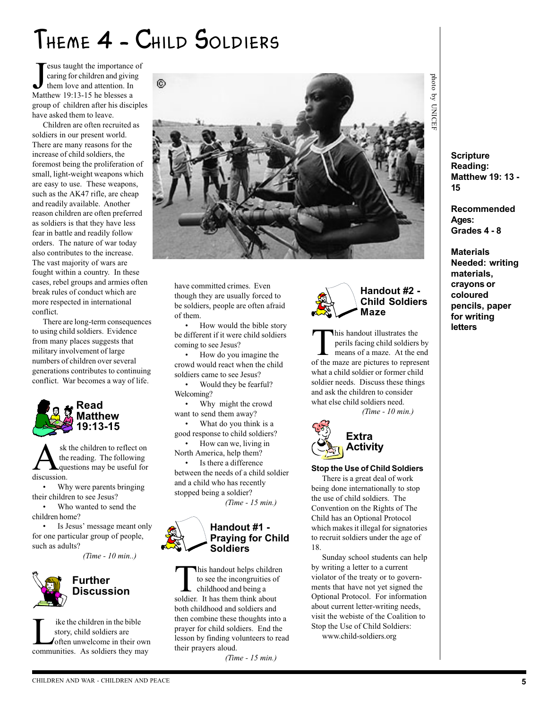### THEME 4 - CHILD SOLDIERS

**J** esus taught the importance<br>caring for children and givit<br>them love and attention. In<br>Matthew 19:13-15 he blesses a esus taught the importance of caring for children and giving them love and attention. In group of children after his disciples have asked them to leave.

Children are often recruited as soldiers in our present world. There are many reasons for the increase of child soldiers, the foremost being the proliferation of small, light-weight weapons which are easy to use. These weapons, such as the AK47 rifle, are cheap and readily available. Another reason children are often preferred as soldiers is that they have less fear in battle and readily follow orders. The nature of war today also contributes to the increase. The vast majority of wars are fought within a country. In these cases, rebel groups and armies often break rules of conduct which are more respected in international conflict.

There are long-term consequences to using child soldiers. Evidence from many places suggests that military involvement of large numbers of children over several generations contributes to continuing conflict. War becomes a way of life.



Sk the children to reflect on<br>the reading. The following<br>discussion the reading. The following questions may be useful for discussion.

 Why were parents bringing their children to see Jesus?

 Who wanted to send the children home?

• Is Jesus' message meant only for one particular group of people, such as adults?

(Time - 10 min..)



### Further **Discussion**

I ike the children in the bible<br>story, child soldiers are<br>often unwelcome in their own<br>communities. As soldiers they may story, child soldiers are often unwelcome in their own



have committed crimes. Even though they are usually forced to be soldiers, people are often afraid of them.

• How would the bible story be different if it were child soldiers coming to see Jesus?

 How do you imagine the crowd would react when the child soldiers came to see Jesus?

 Would they be fearful? Welcoming?

 Why might the crowd want to send them away?

 What do you think is a good response to child soldiers?

 How can we, living in North America, help them? Is there a difference

between the needs of a child soldier and a child who has recently stopped being a soldier?

(Time - 15 min.)

#### Handout #1 - Praying for Child Soldiers

This handout helps children<br>to see the incongruities of<br>childhood and being a<br>soldier. It has them think about to see the incongruities of childhood and being a soldier. It has them think about both childhood and soldiers and then combine these thoughts into a prayer for child soldiers. End the lesson by finding volunteers to read their prayers aloud.

(Time - 15 min.)



This handout illustrates the<br>perils facing child soldiers<br>means of a maze. At the of<br>the maze are pictures to represe perils facing child soldiers by means of a maze. At the end of the maze are pictures to represent what a child soldier or former child soldier needs. Discuss these things and ask the children to consider what else child soldiers need. (Time - 10 min.)



#### Stop the Use of Child Soldiers

There is a great deal of work being done internationally to stop the use of child soldiers. The Convention on the Rights of The Child has an Optional Protocol which makes it illegal for signatories to recruit soldiers under the age of 18.

Sunday school students can help by writing a letter to a current violator of the treaty or to governments that have not yet signed the Optional Protocol. For information about current letter-writing needs, visit the webiste of the Coalition to Stop the Use of Child Soldiers:

www.child-soldiers.org

photo by photo by UNICEF **UNICEI** 

> **Scripture** Reading: Matthew 19: 13 - 15

Recommended Ages: Grades 4 - 8

**Materials** Needed: writing materials, crayons or coloured pencils, paper for writing letters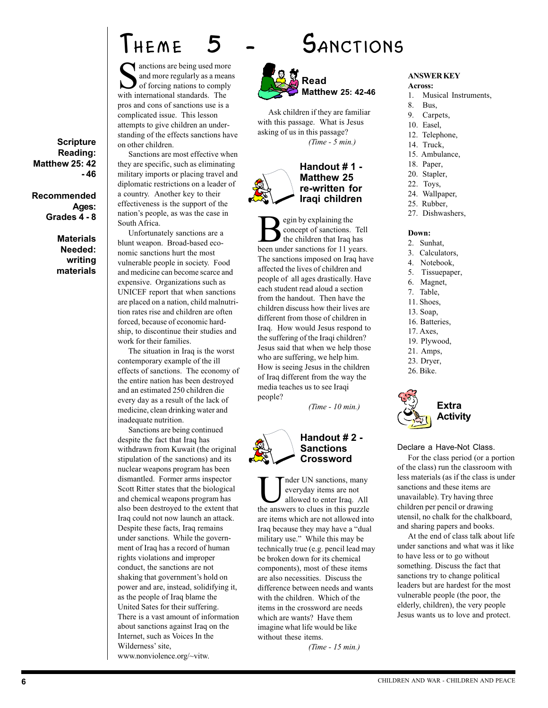### THEME 5 - SANCTIONS

anctions are being used more and more regularly as a means of forcing nations to comply with international standards. The pros and cons of sanctions use is a complicated issue. This lesson attempts to give children an understanding of the effects sanctions have on other children.

Sanctions are most effective when they are specific, such as eliminating military imports or placing travel and diplomatic restrictions on a leader of a country. Another key to their effectiveness is the support of the nation's people, as was the case in South Africa.

Unfortunately sanctions are a blunt weapon. Broad-based economic sanctions hurt the most vulnerable people in society. Food and medicine can become scarce and expensive. Organizations such as UNICEF report that when sanctions are placed on a nation, child malnutrition rates rise and children are often forced, because of economic hardship, to discontinue their studies and work for their families.

every day as a result of the fack of<br>medicine, clean drinking water and<br>inadequate nutrition. The situation in Iraq is the worst contemporary example of the ill effects of sanctions. The economy of the entire nation has been destroyed and an estimated 250 children die every day as a result of the lack of inadequate nutrition.

Sanctions are being continued despite the fact that Iraq has withdrawn from Kuwait (the original stipulation of the sanctions) and its nuclear weapons program has been dismantled. Former arms inspector Scott Ritter states that the biological and chemical weapons program has also been destroyed to the extent that Iraq could not now launch an attack. Despite these facts, Iraq remains under sanctions. While the government of Iraq has a record of human rights violations and improper conduct, the sanctions are not shaking that government's hold on power and are, instead, solidifying it, as the people of Iraq blame the United Sates for their suffering. There is a vast amount of information about sanctions against Iraq on the Internet, such as Voices In the Wilderness' site, www.nonviolence.org/~vitw.





Ask children if they are familiar with this passage. What is Jesus asking of us in this passage? (Time - 5 min.)

#### Handout # 1 - Matthew 25 re-written for Iraqi children

egin by explaining the concept of sanctions. Tell the children that Iraq has been under sanctions for 11 years. The sanctions imposed on Iraq have affected the lives of children and people of all ages drastically. Have each student read aloud a section from the handout. Then have the children discuss how their lives are different from those of children in Iraq. How would Jesus respond to the suffering of the Iraqi children? Jesus said that when we help those who are suffering, we help him. How is seeing Jesus in the children of Iraq different from the way the media teaches us to see Iraqi people?

(Time - 10 min.)



nder UN sanctions, many everyday items are not allowed to enter Iraq. All the answers to clues in this puzzle are items which are not allowed into Iraq because they may have a "dual military use." While this may be technically true (e.g. pencil lead may be broken down for its chemical components), most of these items are also necessities. Discuss the difference between needs and wants with the children. Which of the items in the crossword are needs which are wants? Have them imagine what life would be like without these items. (Time - 15 min.)

ANSWER KEY

Across:

- 1. Musical Instruments,
- 8. Bus,
- 9. Carpets,
- 10. Easel,
- 12. Telephone,
- 14. Truck,
- 15. Ambulance,
- 18. Paper,
- 20. Stapler,
- 22. Toys,
- 24. Wallpaper,
- 25. Rubber,
- 27. Dishwashers,

#### Down:

- 2. Sunhat,
- 3. Calculators,
- 4. Notebook,
- 5. Tissuepaper,
- 6. Magnet,
- 7. Table,
- 11. Shoes,
- 13. Soap, 16. Batteries,
- 17. Axes,
- 
- 19. Plywood,
- 21. Amps, 23. Dryer,
- 26. Bike.
- 



#### Declare a Have-Not Class.

For the class period (or a portion of the class) run the classroom with less materials (as if the class is under sanctions and these items are unavailable). Try having three children per pencil or drawing utensil, no chalk for the chalkboard, and sharing papers and books.

At the end of class talk about life under sanctions and what was it like to have less or to go without something. Discuss the fact that sanctions try to change political leaders but are hardest for the most vulnerable people (the poor, the elderly, children), the very people Jesus wants us to love and protect.

**Scripture** Reading: Matthew 25: 42 - 46

Recommended Ages: Grades 4 - 8

> **Materials** Needed: writing materials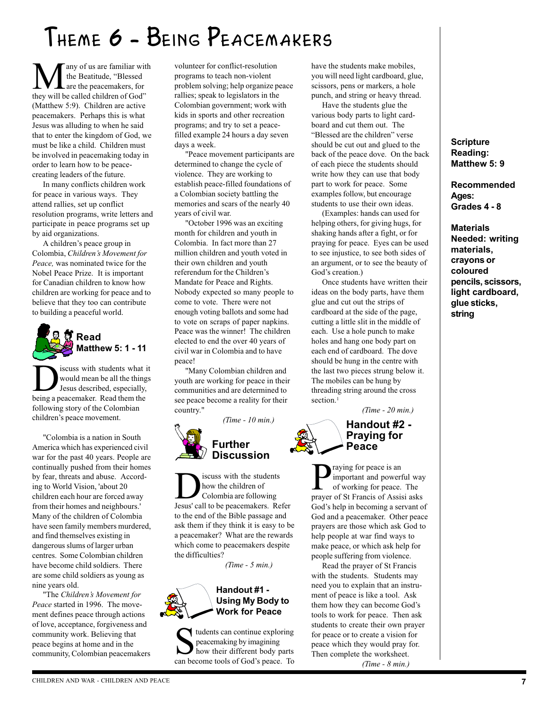## Theme 6 - Being Peacemakers

**M** any of us are familiar with<br>the Beatitude, "Blessed<br>they will be called children of God" the Beatitude, "Blessed are the peacemakers, for (Matthew 5:9). Children are active peacemakers. Perhaps this is what Jesus was alluding to when he said that to enter the kingdom of God, we must be like a child. Children must be involved in peacemaking today in order to learn how to be peacecreating leaders of the future.

In many conflicts children work for peace in various ways. They attend rallies, set up conflict resolution programs, write letters and participate in peace programs set up by aid organizations.

A children's peace group in Colombia, Children's Movement for Peace, was nominated twice for the Nobel Peace Prize. It is important for Canadian children to know how children are working for peace and to believe that they too can contribute to building a peaceful world.



sincuss with students what it<br>would mean be all the things<br>Jesus described, especially,<br>being a neacemaker. Read them the would mean be all the things Jesus described, especially, being a peacemaker. Read them the following story of the Colombian children's peace movement.

"Colombia is a nation in South America which has experienced civil war for the past 40 years. People are continually pushed from their homes by fear, threats and abuse. According to World Vision, 'about 20 children each hour are forced away from their homes and neighbours.' Many of the children of Colombia have seen family members murdered, and find themselves existing in dangerous slums of larger urban centres. Some Colombian children have become child soldiers. There are some child soldiers as young as nine years old.

"The Children's Movement for Peace started in 1996. The movement defines peace through actions of love, acceptance, forgiveness and community work. Believing that peace begins at home and in the community, Colombian peacemakers

volunteer for conflict-resolution programs to teach non-violent problem solving; help organize peace rallies; speak to legislators in the Colombian government; work with kids in sports and other recreation programs; and try to set a peacefilled example 24 hours a day seven days a week.

"Peace movement participants are determined to change the cycle of violence. They are working to establish peace-filled foundations of a Colombian society battling the memories and scars of the nearly 40 years of civil war.

"October 1996 was an exciting month for children and youth in Colombia. In fact more than 27 million children and youth voted in their own children and youth referendum for the Children's Mandate for Peace and Rights. Nobody expected so many people to come to vote. There were not enough voting ballots and some had to vote on scraps of paper napkins. Peace was the winner! The children elected to end the over 40 years of civil war in Colombia and to have peace!

"Many Colombian children and youth are working for peace in their communities and are determined to see peace become a reality for their country."

(Time - 10 min.)

### Further **Discussion**

**DEN** iscuss with the students<br>how the children of<br>Jesus' call to be peacemakers. Refer how the children of Colombia are following to the end of the Bible passage and ask them if they think it is easy to be a peacemaker? What are the rewards which come to peacemakers despite the difficulties?

(Time - 5 min.)



 $\blacktriangleleft$  tudents can continue exploring peacemaking by imagining how their different body parts can become tools of God's peace. To

have the students make mobiles, you will need light cardboard, glue, scissors, pens or markers, a hole punch, and string or heavy thread.

Have the students glue the various body parts to light cardboard and cut them out. The "Blessed are the children" verse should be cut out and glued to the back of the peace dove. On the back of each piece the students should write how they can use that body part to work for peace. Some examples follow, but encourage students to use their own ideas.

(Examples: hands can used for helping others, for giving hugs, for shaking hands after a fight, or for praying for peace. Eyes can be used to see injustice, to see both sides of an argument, or to see the beauty of God's creation.)

Once students have written their ideas on the body parts, have them glue and cut out the strips of cardboard at the side of the page, cutting a little slit in the middle of each. Use a hole punch to make holes and hang one body part on each end of cardboard. The dove should be hung in the centre with the last two pieces strung below it. The mobiles can be hung by threading string around the cross section.<sup>1</sup>

(Time - 20 min.)

#### Handout #2 - Praying for Peace

raying for peace is an important and powerful way of working for peace. The prayer of St Francis of Assisi asks God's help in becoming a servant of God and a peacemaker. Other peace prayers are those which ask God to help people at war find ways to make peace, or which ask help for people suffering from violence.

Read the prayer of St Francis with the students. Students may need you to explain that an instrument of peace is like a tool. Ask them how they can become God's tools to work for peace. Then ask students to create their own prayer for peace or to create a vision for peace which they would pray for. Then complete the worksheet. (Time - 8 min.)

#### **Scripture** Reading: Matthew 5: 9

Recommended Ages: Grades 4 - 8

**Materials** Needed: writing materials, crayons or coloured pencils, scissors, light cardboard, glue sticks, string